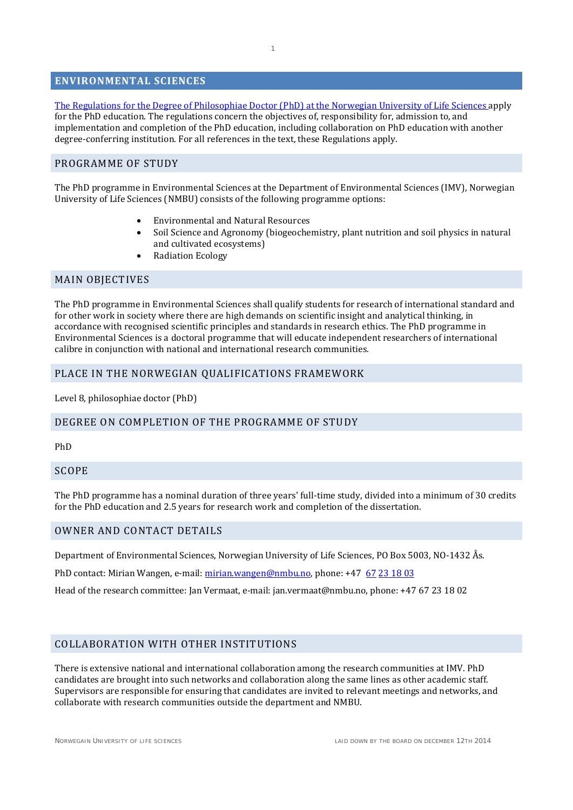### **ENVIRONMENTAL SCIENCES**

The Regulations for the Degree of Philosophiae [Doctor \(PhD\) at the Norwegian University of Life Sciences](https://www.nmbu.no/sites/default/files/pdfattachments/ph.d-forskrift_nmbu_final_eng_final_0.pdf) apply for the PhD education. The regulations concern the objectives of, responsibility for, admission to, and implementation and completion of the PhD education, including collaboration on PhD education with another degree-conferring institution. For all references in the text, these Regulations apply.

### PROGRAMME OF STUDY

The PhD programme in Environmental Sciences at the Department of Environmental Sciences (IMV), Norwegian University of Life Sciences (NMBU) consists of the following programme options:

- Environmental and Natural Resources
- Soil Science and Agronomy (biogeochemistry, plant nutrition and soil physics in natural and cultivated ecosystems)
- Radiation Ecology

### MAIN OBJECTIVES

The PhD programme in Environmental Sciences shall qualify students for research of international standard and for other work in society where there are high demands on scientific insight and analytical thinking, in accordance with recognised scientific principles and standards in research ethics. The PhD programme in Environmental Sciences is a doctoral programme that will educate independent researchers of international calibre in conjunction with national and international research communities.

### PLACE IN THE NORWEGIAN QUALIFICATIONS FRAMEWORK

Level 8, philosophiae doctor (PhD)

#### DEGREE ON COMPLETION OF THE PROGRAMME OF STUDY

PhD

#### SCOPE

The PhD programme has a nominal duration of three years' full-time study, divided into a minimum of 30 credits for the PhD education and 2.5 years for research work and completion of the dissertation.

#### OWNER AND CONTACT DETAILS

Department of Environmental Sciences, Norwegian University of Life Sciences, PO Box 5003, NO-1432 Ås.

PhD contact: Mirian Wangen, e-mail: mirian.wangen@nmbu.no, phone: +47 67 23 18 03

[Head of th](mailto:67%2023%2018%2003)e research committee: Jan Vermaat, e-mail: jan.vermaat@nmbu.no, phone: +47 67 23 18 02

#### COLLABORATION WITH OTHER INSTITUTIONS

There is extensive national and international collaboration among the research communities at IMV. PhD candidates are brought into such networks and collaboration along the same lines as other academic staff. Supervisors are responsible for ensuring that candidates are invited to relevant meetings and networks, and collaborate with research communities outside the department and NMBU.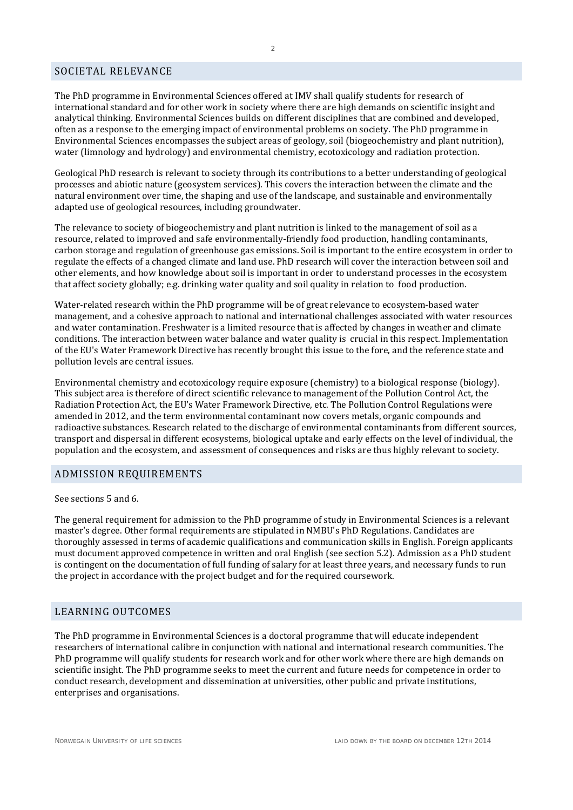#### SOCIETAL RELEVANCE

The PhD programme in Environmental Sciences offered at IMV shall qualify students for research of international standard and for other work in society where there are high demands on scientific insight and analytical thinking. Environmental Sciences builds on different disciplines that are combined and developed, often as a response to the emerging impact of environmental problems on society. The PhD programme in Environmental Sciences encompasses the subject areas of geology, soil (biogeochemistry and plant nutrition), water (limnology and hydrology) and environmental chemistry, ecotoxicology and radiation protection.

Geological PhD research is relevant to society through its contributions to a better understanding of geological processes and abiotic nature (geosystem services). This covers the interaction between the climate and the natural environment over time, the shaping and use of the landscape, and sustainable and environmentally adapted use of geological resources, including groundwater.

The relevance to society of biogeochemistry and plant nutrition is linked to the management of soil as a resource, related to improved and safe environmentally-friendly food production, handling contaminants, carbon storage and regulation of greenhouse gas emissions. Soil is important to the entire ecosystem in order to regulate the effects of a changed climate and land use. PhD research will cover the interaction between soil and other elements, and how knowledge about soil is important in order to understand processes in the ecosystem that affect society globally; e.g. drinking water quality and soil quality in relation to food production.

Water-related research within the PhD programme will be of great relevance to ecosystem-based water management, and a cohesive approach to national and international challenges associated with water resources and water contamination. Freshwater is a limited resource that is affected by changes in weather and climate conditions. The interaction between water balance and water quality is crucial in this respect. Implementation of the EU's Water Framework Directive has recently brought this issue to the fore, and the reference state and pollution levels are central issues.

Environmental chemistry and ecotoxicology require exposure (chemistry) to a biological response (biology). This subject area is therefore of direct scientific relevance to management of the Pollution Control Act, the Radiation Protection Act, the EU's Water Framework Directive, etc. The Pollution Control Regulations were amended in 2012, and the term environmental contaminant now covers metals, organic compounds and radioactive substances. Research related to the discharge of environmental contaminants from different sources, transport and dispersal in different ecosystems, biological uptake and early effects on the level of individual, the population and the ecosystem, and assessment of consequences and risks are thus highly relevant to society.

#### ADMISSION REQUIREMENTS

See sections 5 and 6.

The general requirement for admission to the PhD programme of study in Environmental Sciences is a relevant master's degree. Other formal requirements are stipulated in NMBU's PhD Regulations. Candidates are thoroughly assessed in terms of academic qualifications and communication skills in English. Foreign applicants must document approved competence in written and oral English (see section 5.2). Admission as a PhD student is contingent on the documentation of full funding of salary for at least three years, and necessary funds to run the project in accordance with the project budget and for the required coursework.

#### LEARNING OUTCOMES

The PhD programme in Environmental Sciences is a doctoral programme that will educate independent researchers of international calibre in conjunction with national and international research communities. The PhD programme will qualify students for research work and for other work where there are high demands on scientific insight. The PhD programme seeks to meet the current and future needs for competence in order to conduct research, development and dissemination at universities, other public and private institutions, enterprises and organisations.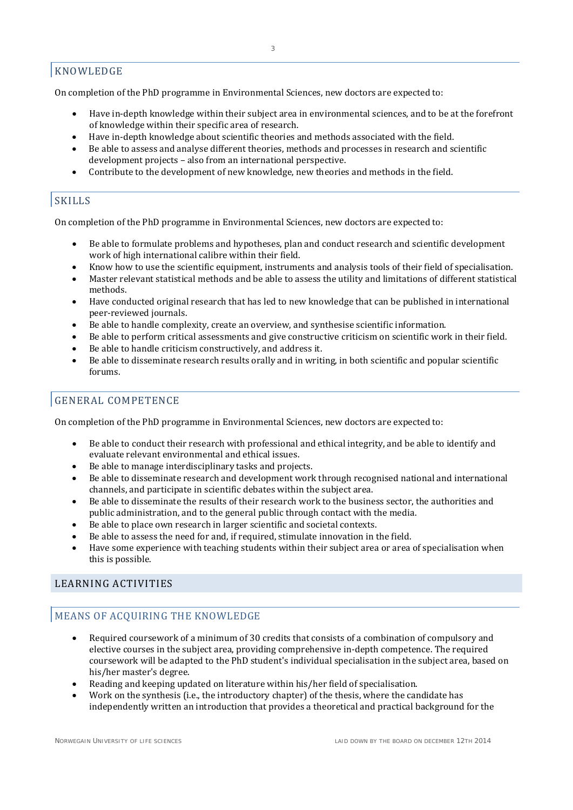On completion of the PhD programme in Environmental Sciences, new doctors are expected to:

- Have in-depth knowledge within their subject area in environmental sciences, and to be at the forefront of knowledge within their specific area of research.
- Have in-depth knowledge about scientific theories and methods associated with the field.
- Be able to assess and analyse different theories, methods and processes in research and scientific development projects – also from an international perspective.
- Contribute to the development of new knowledge, new theories and methods in the field.

# **SKILLS**

On completion of the PhD programme in Environmental Sciences, new doctors are expected to:

- Be able to formulate problems and hypotheses, plan and conduct research and scientific development work of high international calibre within their field.
- Know how to use the scientific equipment, instruments and analysis tools of their field of specialisation.
- Master relevant statistical methods and be able to assess the utility and limitations of different statistical methods.
- Have conducted original research that has led to new knowledge that can be published in international peer-reviewed journals.
- Be able to handle complexity, create an overview, and synthesise scientific information.
- Be able to perform critical assessments and give constructive criticism on scientific work in their field.
- Be able to handle criticism constructively, and address it.
- Be able to disseminate research results orally and in writing, in both scientific and popular scientific forums.

## GENERAL COMPETENCE

On completion of the PhD programme in Environmental Sciences, new doctors are expected to:

- Be able to conduct their research with professional and ethical integrity, and be able to identify and evaluate relevant environmental and ethical issues.
- Be able to manage interdisciplinary tasks and projects.<br>• Be able to disseminate research and development work
- Be able to disseminate research and development work through recognised national and international channels, and participate in scientific debates within the subject area.
- Be able to disseminate the results of their research work to the business sector, the authorities and public administration, and to the general public through contact with the media.
- Be able to place own research in larger scientific and societal contexts.
- Be able to assess the need for and, if required, stimulate innovation in the field.
- Have some experience with teaching students within their subject area or area of specialisation when this is possible.

## LEARNING ACTIVITIES

## MEANS OF ACQUIRING THE KNOWLEDGE

- Required coursework of a minimum of 30 credits that consists of a combination of compulsory and elective courses in the subject area, providing comprehensive in-depth competence. The required coursework will be adapted to the PhD student's individual specialisation in the subject area, based on his/her master's degree.
- Reading and keeping updated on literature within his/her field of specialisation.
- Work on the synthesis (i.e., the introductory chapter) of the thesis, where the candidate has independently written an introduction that provides a theoretical and practical background for the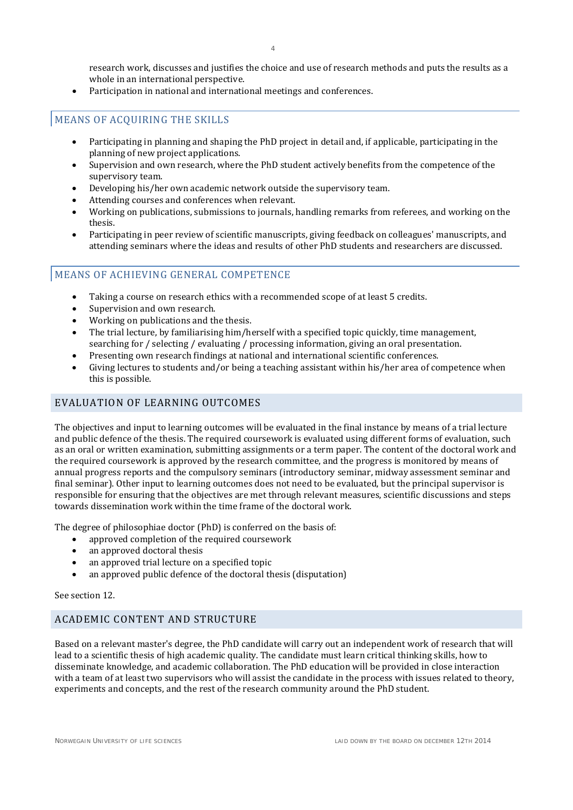research work, discusses and justifies the choice and use of research methods and puts the results as a whole in an international perspective.

• Participation in national and international meetings and conferences.

### MEANS OF ACQUIRING THE SKILLS

- Participating in planning and shaping the PhD project in detail and, if applicable, participating in the planning of new project applications.
- Supervision and own research, where the PhD student actively benefits from the competence of the supervisory team.
- Developing his/her own academic network outside the supervisory team.
- Attending courses and conferences when relevant.
- Working on publications, submissions to journals, handling remarks from referees, and working on the thesis.
- Participating in peer review of scientific manuscripts, giving feedback on colleagues' manuscripts, and attending seminars where the ideas and results of other PhD students and researchers are discussed.

### MEANS OF ACHIEVING GENERAL COMPETENCE

- Taking a course on research ethics with a recommended scope of at least 5 credits.
- Supervision and own research.
- Working on publications and the thesis.
- The trial lecture, by familiarising him/herself with a specified topic quickly, time management, searching for / selecting / evaluating / processing information, giving an oral presentation.
- Presenting own research findings at national and international scientific conferences.
- Giving lectures to students and/or being a teaching assistant within his/her area of competence when this is possible.

### EVALUATION OF LEARNING OUTCOMES

The objectives and input to learning outcomes will be evaluated in the final instance by means of a trial lecture and public defence of the thesis. The required coursework is evaluated using different forms of evaluation, such as an oral or written examination, submitting assignments or a term paper. The content of the doctoral work and the required coursework is approved by the research committee, and the progress is monitored by means of annual progress reports and the compulsory seminars (introductory seminar, midway assessment seminar and final seminar). Other input to learning outcomes does not need to be evaluated, but the principal supervisor is responsible for ensuring that the objectives are met through relevant measures, scientific discussions and steps towards dissemination work within the time frame of the doctoral work.

The degree of philosophiae doctor (PhD) is conferred on the basis of:

- approved completion of the required coursework<br>• an approved doctoral thesis
- an approved doctoral thesis<br>• an approved trial lecture on
- an approved trial lecture on a specified topic
- an approved public defence of the doctoral thesis (disputation)

See section 12.

### ACADEMIC CONTENT AND STRUCTURE

Based on a relevant master's degree, the PhD candidate will carry out an independent work of research that will lead to a scientific thesis of high academic quality. The candidate must learn critical thinking skills, how to disseminate knowledge, and academic collaboration. The PhD education will be provided in close interaction with a team of at least two supervisors who will assist the candidate in the process with issues related to theory, experiments and concepts, and the rest of the research community around the PhD student.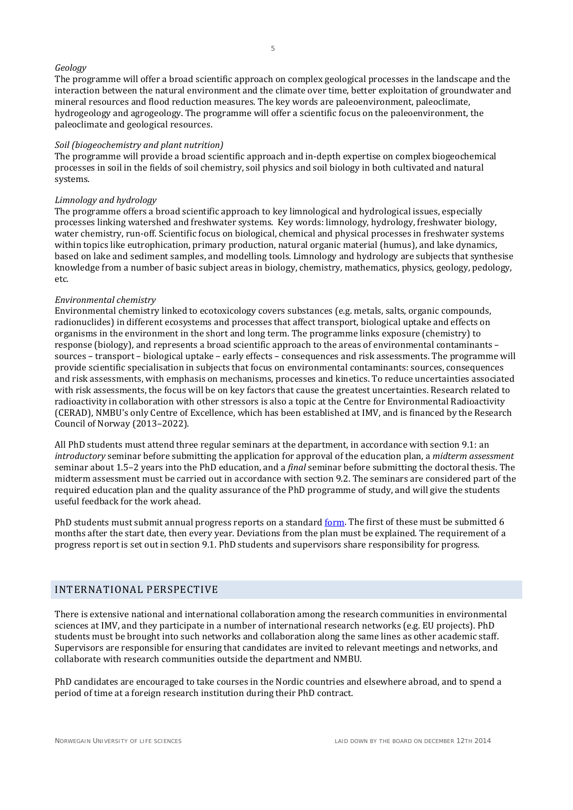#### *Geology*

The programme will offer a broad scientific approach on complex geological processes in the landscape and the interaction between the natural environment and the climate over time, better exploitation of groundwater and mineral resources and flood reduction measures. The key words are paleoenvironment, paleoclimate, hydrogeology and agrogeology. The programme will offer a scientific focus on the paleoenvironment, the paleoclimate and geological resources.

#### *Soil (biogeochemistry and plant nutrition)*

The programme will provide a broad scientific approach and in-depth expertise on complex biogeochemical processes in soil in the fields of soil chemistry, soil physics and soil biology in both cultivated and natural systems.

#### *Limnology and hydrology*

The programme offers a broad scientific approach to key limnological and hydrological issues, especially processes linking watershed and freshwater systems. Key words: limnology, hydrology, freshwater biology, water chemistry, run-off. Scientific focus on biological, chemical and physical processes in freshwater systems within topics like eutrophication, primary production, natural organic material (humus), and lake dynamics, based on lake and sediment samples, and modelling tools. Limnology and hydrology are subjects that synthesise knowledge from a number of basic subject areas in biology, chemistry, mathematics, physics, geology, pedology, etc.

#### *Environmental chemistry*

Environmental chemistry linked to ecotoxicology covers substances (e.g. metals, salts, organic compounds, radionuclides) in different ecosystems and processes that affect transport, biological uptake and effects on organisms in the environment in the short and long term. The programme links exposure (chemistry) to response (biology), and represents a broad scientific approach to the areas of environmental contaminants – sources – transport – biological uptake – early effects – consequences and risk assessments. The programme will provide scientific specialisation in subjects that focus on environmental contaminants: sources, consequences and risk assessments, with emphasis on mechanisms, processes and kinetics. To reduce uncertainties associated with risk assessments, the focus will be on key factors that cause the greatest uncertainties. Research related to radioactivity in collaboration with other stressors is also a topic at the Centre for Environmental Radioactivity (CERAD), NMBU's only Centre of Excellence, which has been established at IMV, and is financed by the Research Council of Norway (2013–2022).

All PhD students must attend three regular seminars at the department, in accordance with section 9.1: an *introductory* seminar before submitting the application for approval of the education plan, a *midterm assessment* seminar about 1.5–2 years into the PhD education, and a *final* seminar before submitting the doctoral thesis. The midterm assessment must be carried out in accordance with section 9.2. The seminars are considered part of the required education plan and the quality assurance of the PhD programme of study, and will give the students useful feedback for the work ahead.

PhD students must submit annual progress reports on a standar[d form.](https://www.nmbu.no/en/research/phd/implementation) The first of these must be submitted 6 months after the start date, then every year. Deviations from the plan must be explained. The requirement of a progress report is set out in section 9.1. PhD students and supervisors share responsibility for progress.

### INTERNATIONAL PERSPECTIVE

There is extensive national and international collaboration among the research communities in environmental sciences at IMV, and they participate in a number of international research networks (e.g. EU projects). PhD students must be brought into such networks and collaboration along the same lines as other academic staff. Supervisors are responsible for ensuring that candidates are invited to relevant meetings and networks, and collaborate with research communities outside the department and NMBU.

PhD candidates are encouraged to take courses in the Nordic countries and elsewhere abroad, and to spend a period of time at a foreign research institution during their PhD contract.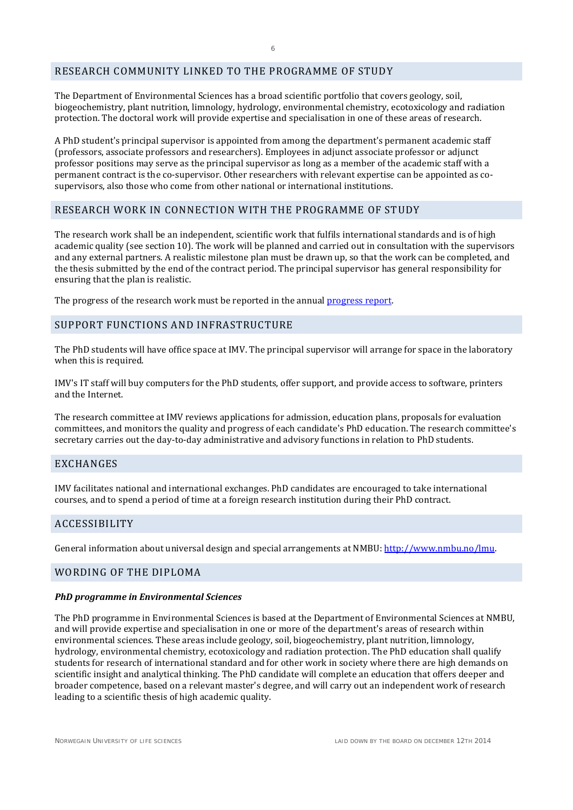#### RESEARCH COMMUNITY LINKED TO THE PROGRAMME OF STUDY

The Department of Environmental Sciences has a broad scientific portfolio that covers geology, soil, biogeochemistry, plant nutrition, limnology, hydrology, environmental chemistry, ecotoxicology and radiation protection. The doctoral work will provide expertise and specialisation in one of these areas of research.

A PhD student's principal supervisor is appointed from among the department's permanent academic staff (professors, associate professors and researchers). Employees in adjunct associate professor or adjunct professor positions may serve as the principal supervisor as long as a member of the academic staff with a permanent contract is the co-supervisor. Other researchers with relevant expertise can be appointed as cosupervisors, also those who come from other national or international institutions.

#### RESEARCH WORK IN CONNECTION WITH THE PROGRAMME OF STUDY

The research work shall be an independent, scientific work that fulfils international standards and is of high academic quality (see section 10). The work will be planned and carried out in consultation with the supervisors and any external partners. A realistic milestone plan must be drawn up, so that the work can be completed, and the thesis submitted by the end of the contract period. The principal supervisor has general responsibility for ensuring that the plan is realistic.

The progress of the research work must be reported in the annual [progress report.](https://www.nmbu.no/en/research/phd/implementation)

#### SUPPORT FUNCTIONS AND INFRASTRUCTURE

The PhD students will have office space at IMV. The principal supervisor will arrange for space in the laboratory when this is required.

IMV's IT staff will buy computers for the PhD students, offer support, and provide access to software, printers and the Internet.

The research committee at IMV reviews applications for admission, education plans, proposals for evaluation committees, and monitors the quality and progress of each candidate's PhD education. The research committee's secretary carries out the day-to-day administrative and advisory functions in relation to PhD students.

### EXCHANGES

IMV facilitates national and international exchanges. PhD candidates are encouraged to take international courses, and to spend a period of time at a foreign research institution during their PhD contract.

#### ACCESSIBILITY

General information about universal design and special arrangements at NMBU: http://www.nmbu.no/lmu.

### WORDING OF THE DIPLOMA

#### *PhD programme in Environmental Sciences*

The PhD programme in Environmental Sciences is based at the Department of Environmental Sciences at NMBU, and will provide expertise and specialisation in one or more of the department's areas of research within environmental sciences. These areas include geology, soil, biogeochemistry, plant nutrition, limnology, hydrology, environmental chemistry, ecotoxicology and radiation protection. The PhD education shall qualify students for research of international standard and for other work in society where there are high demands on scientific insight and analytical thinking. The PhD candidate will complete an education that offers deeper and broader competence, based on a relevant master's degree, and will carry out an independent work of research leading to a scientific thesis of high academic quality.